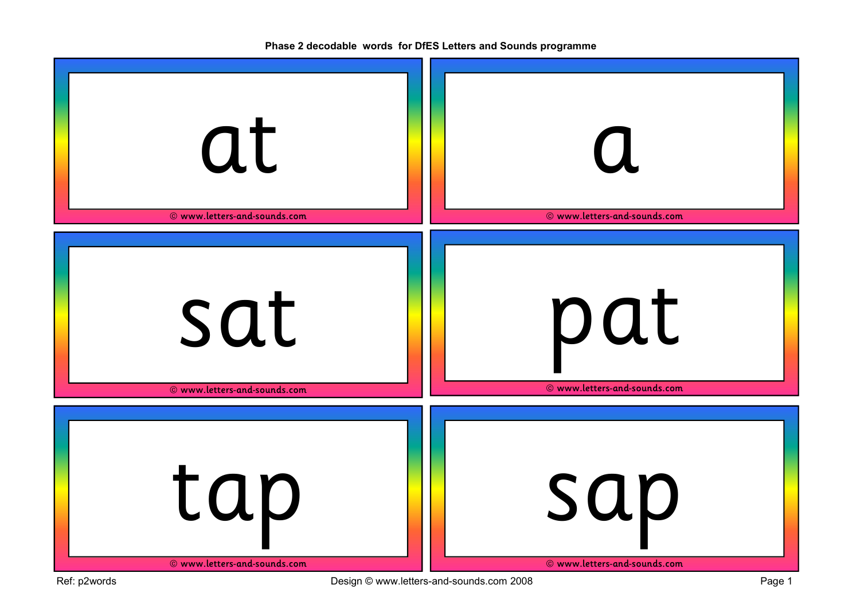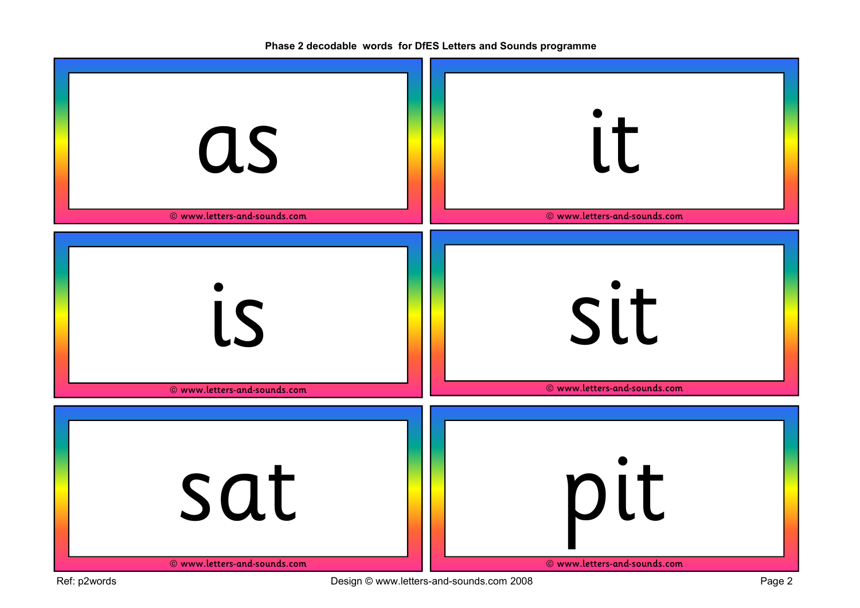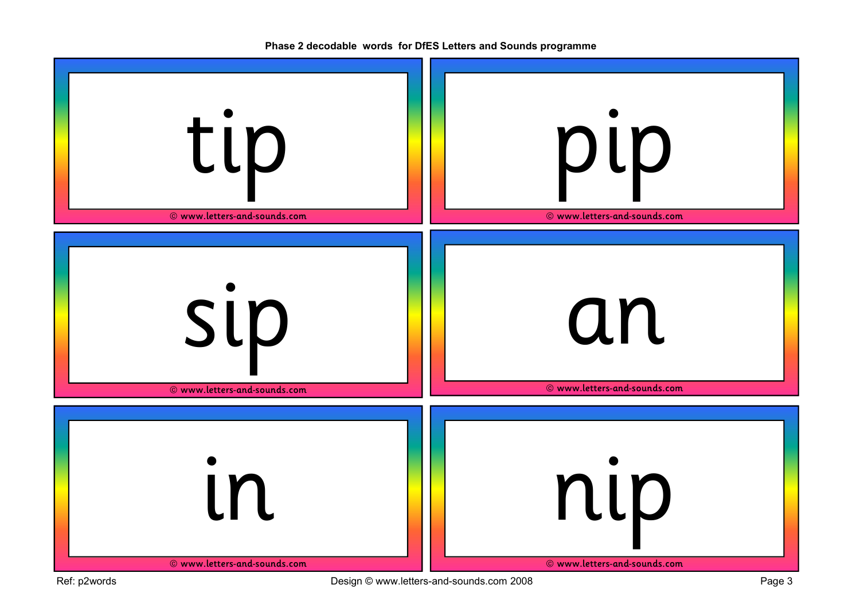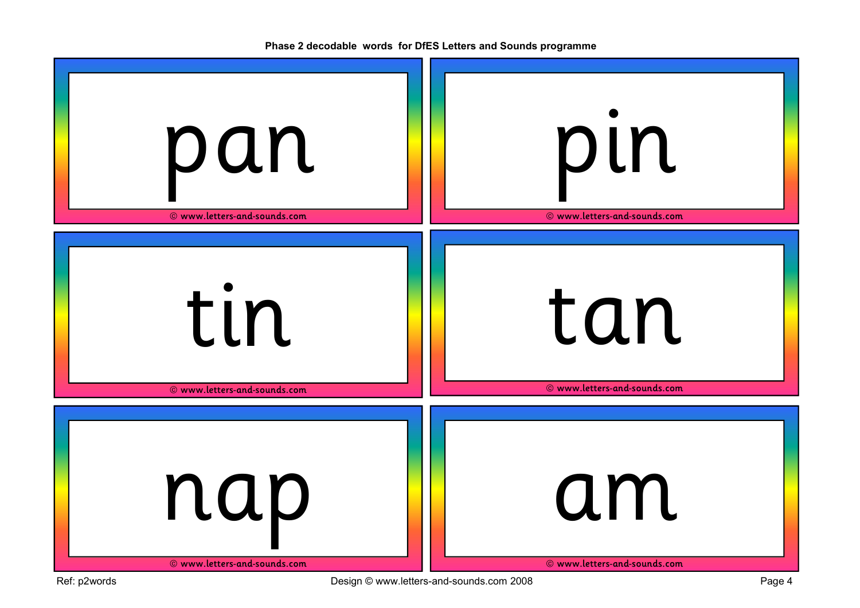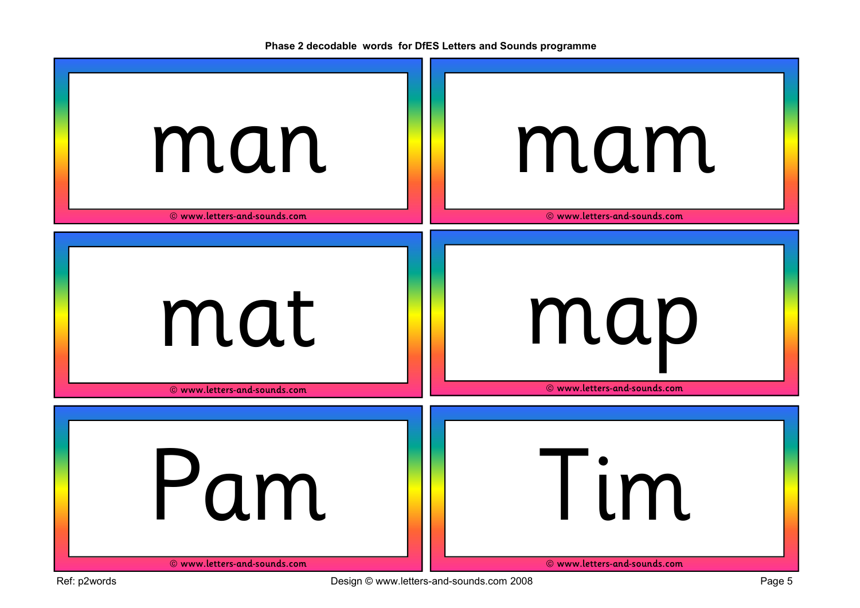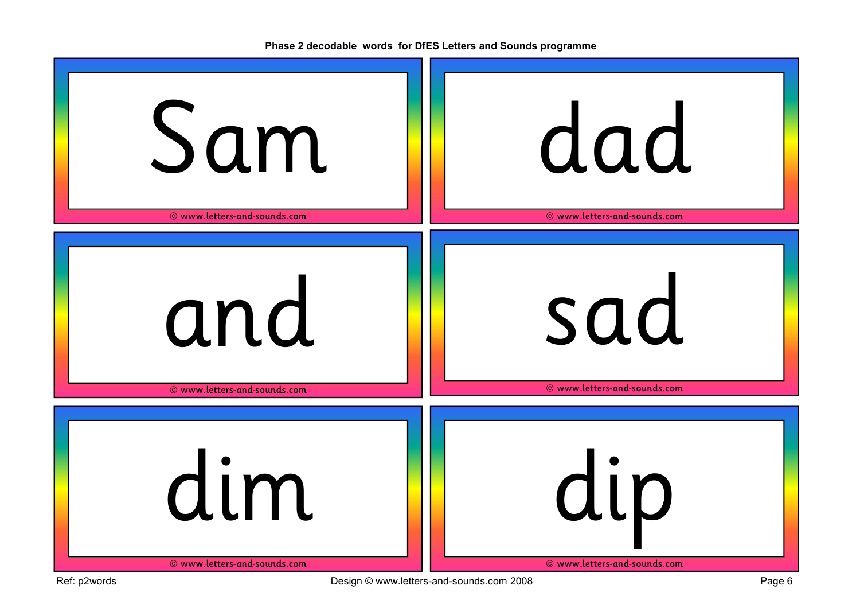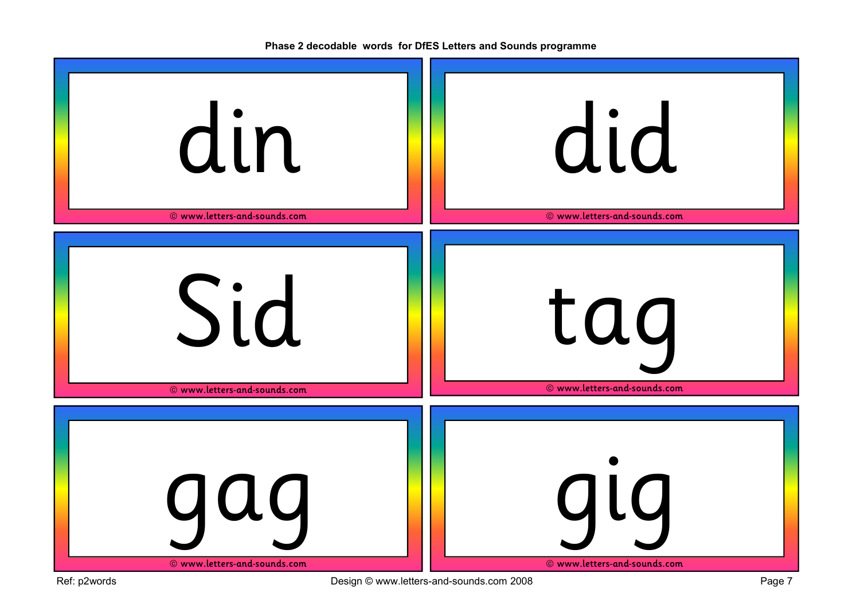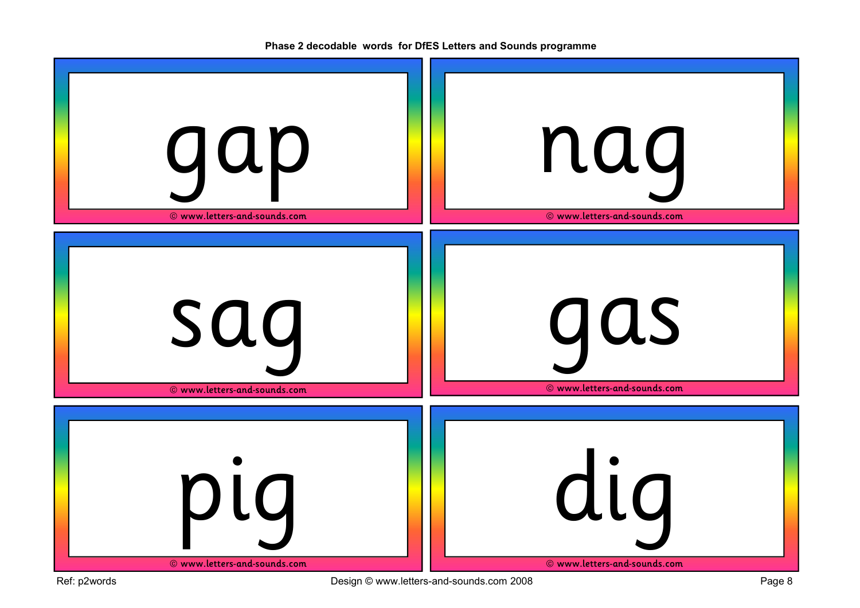gap © www.letters-and-sounds.com nag © www.letters-and-sounds.com sag © www.letters-and-sounds.com gas © www.letters-and-sounds.com pig © www.letters-and-sounds.com dig © www.letters-and-sounds.com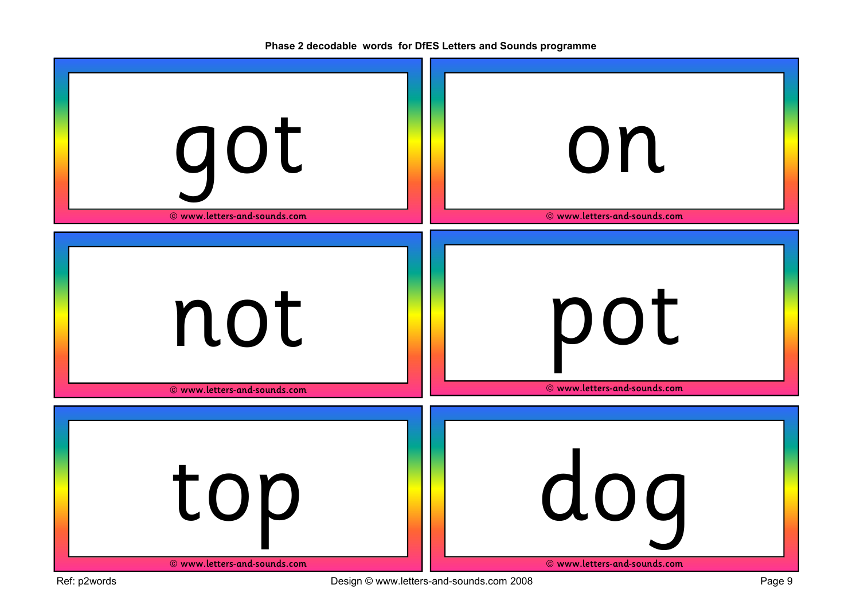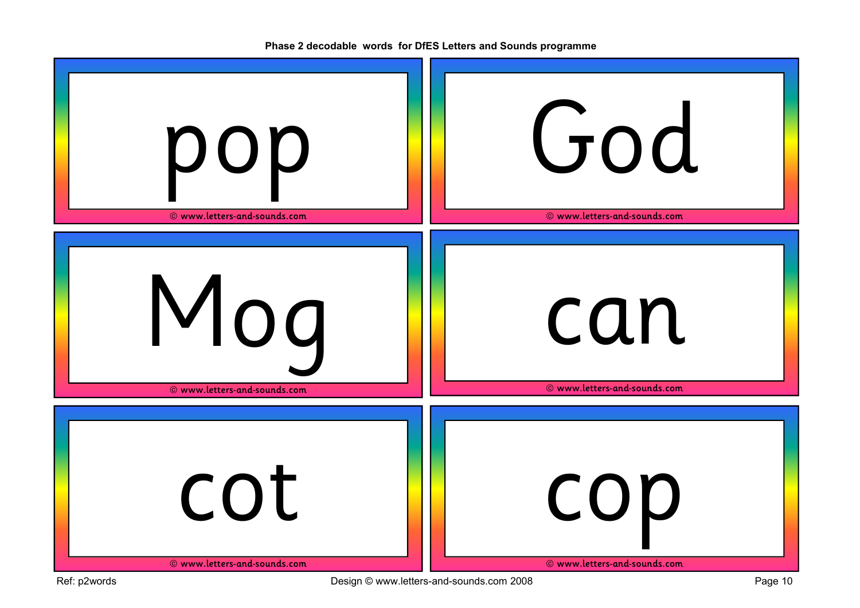pop © www.letters-and-sounds.com God © www.letters-and-sounds.com Mog © www.letters-and-sounds.com can © www.letters-and-sounds.com cot © www.letters-and-sounds.com cop © www.letters-and-sounds.com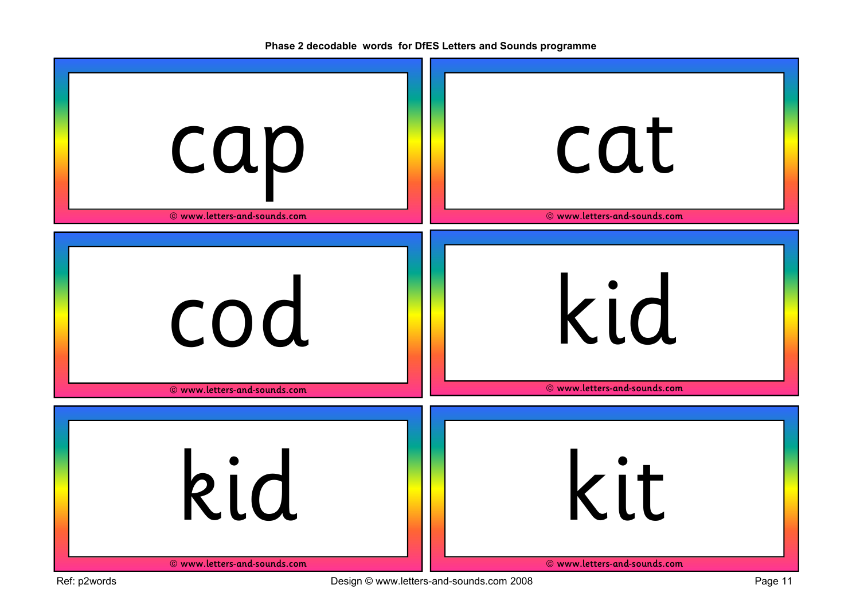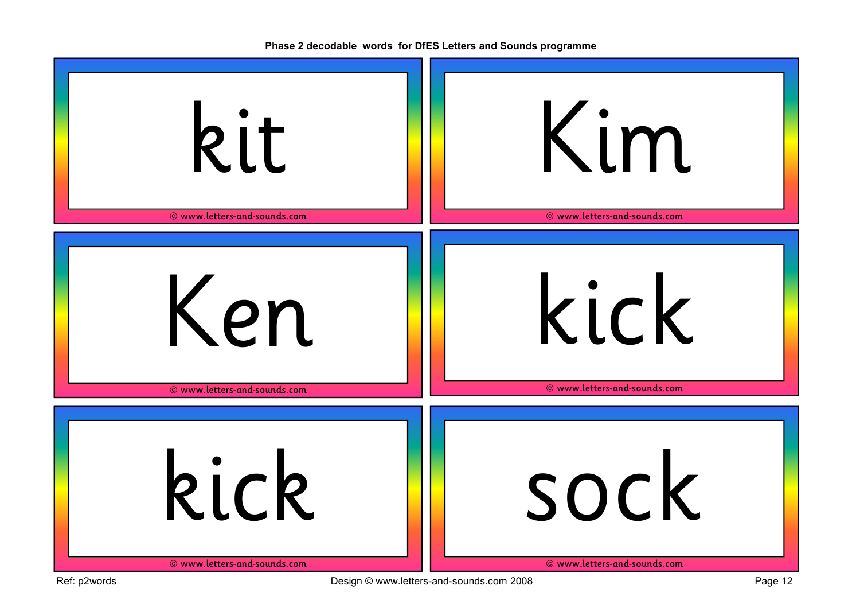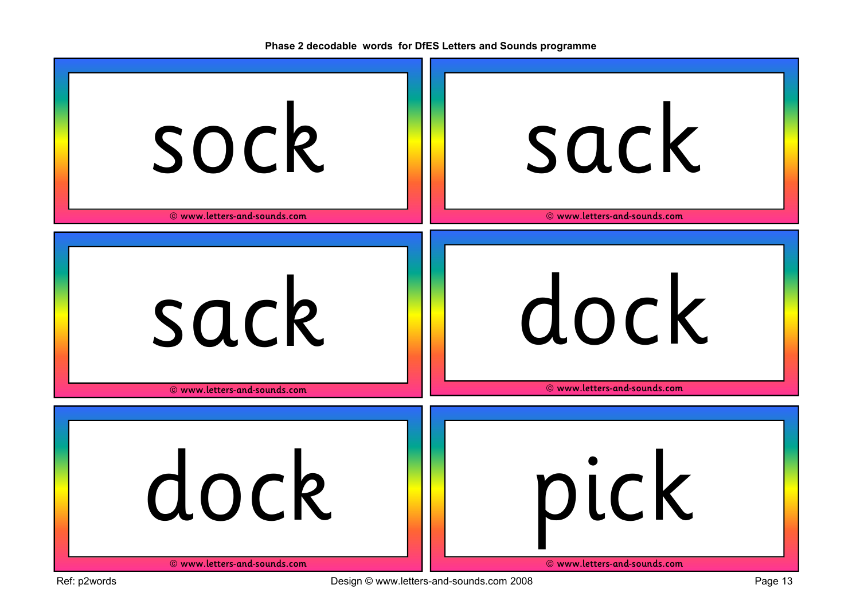| sock                         | sack                         |
|------------------------------|------------------------------|
| © www.letters-and-sounds.com | © www.letters-and-sounds.com |
| sack                         | dock                         |
| © www.letters-and-sounds.com | © www.letters-and-sounds.com |
| dock                         | pick                         |
| © www.letters-and-sounds.com | © www.letters-and-sounds.com |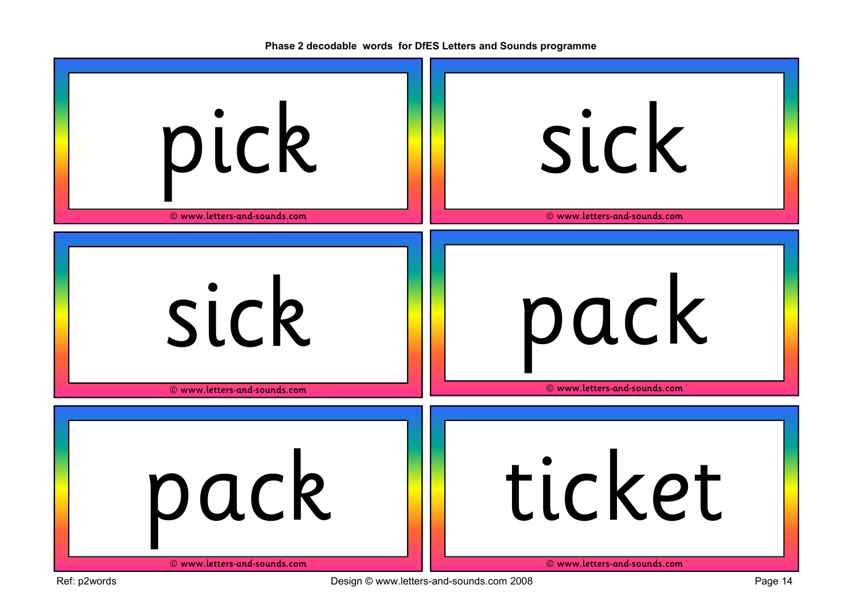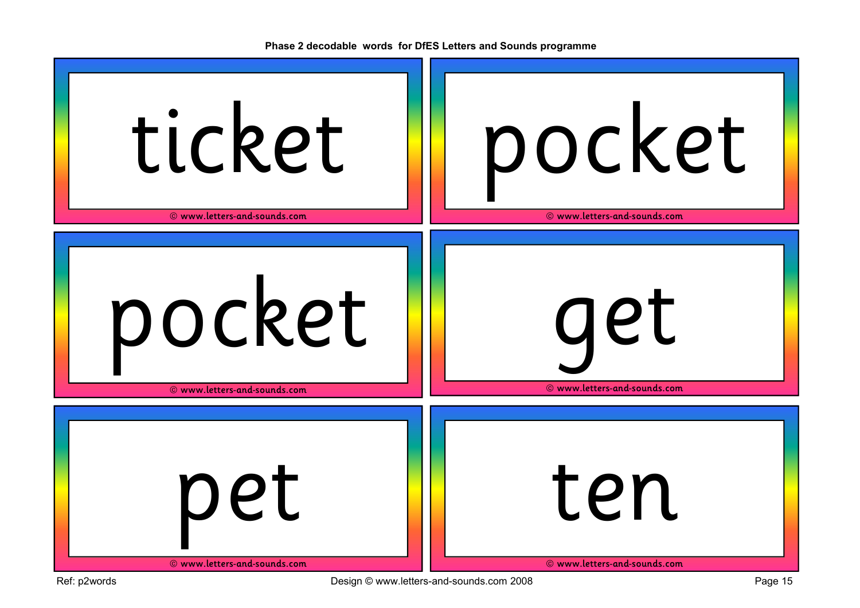

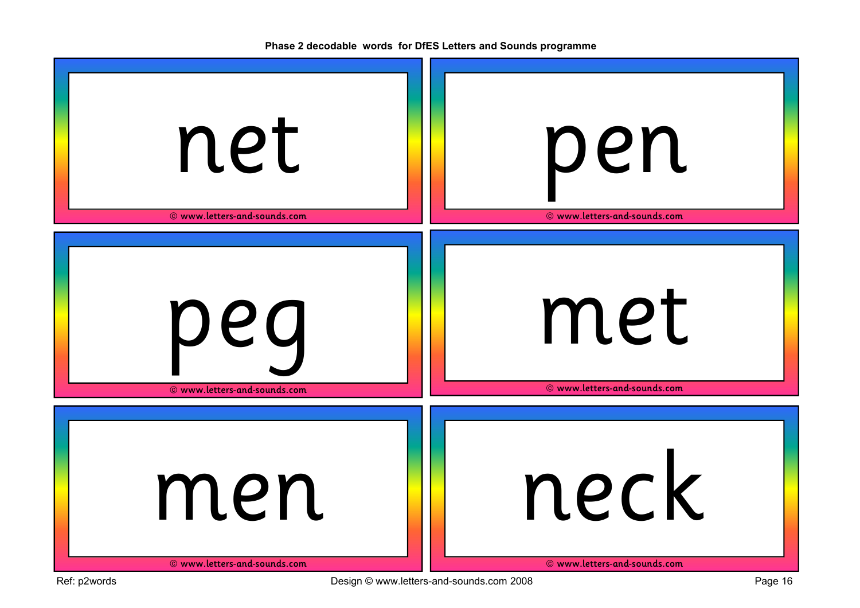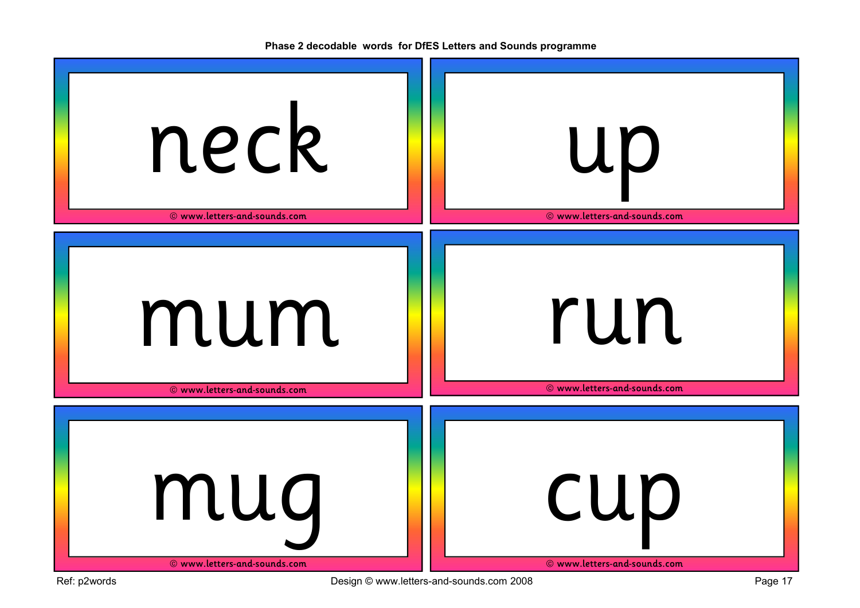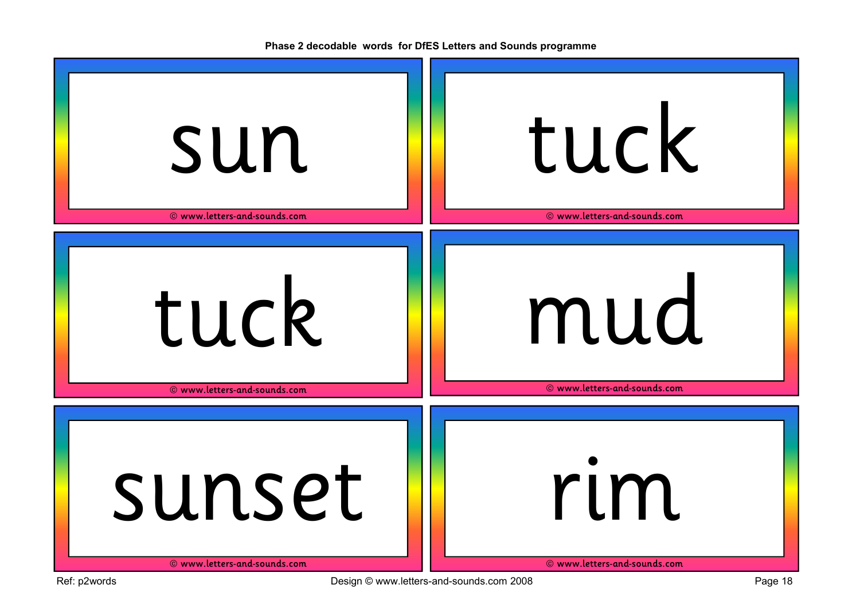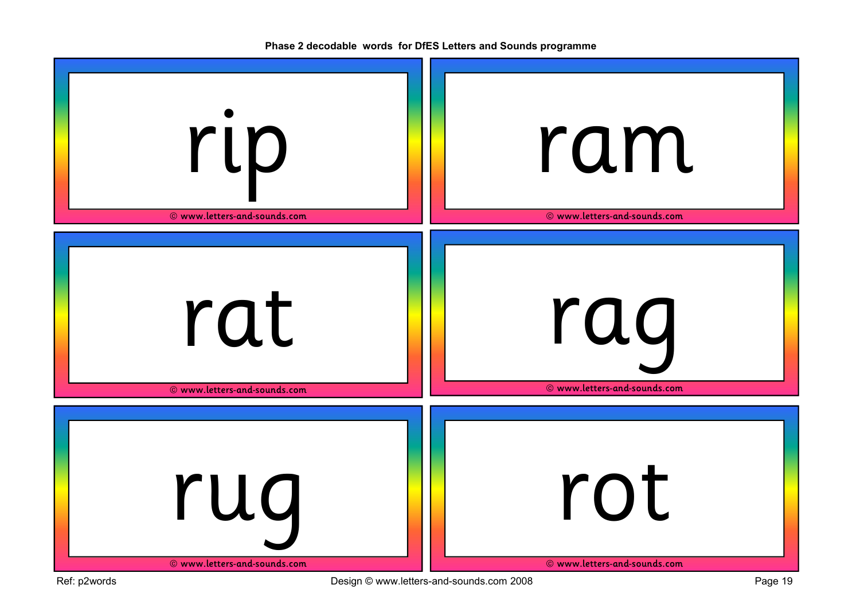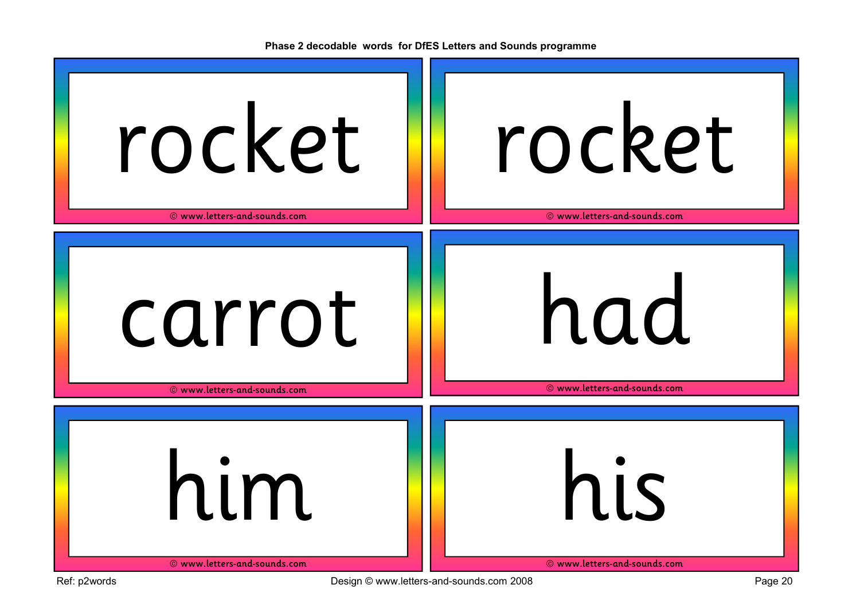| rocket                       | rocket                       |
|------------------------------|------------------------------|
| © www.letters-and-sounds.com | © www.letters-and-sounds.com |
| carrot                       | had                          |
| © www.letters-and-sounds.com | © www.letters-and-sounds.com |
| him                          | his                          |
| © www.letters-and-sounds.com | © www.letters-and-sounds.com |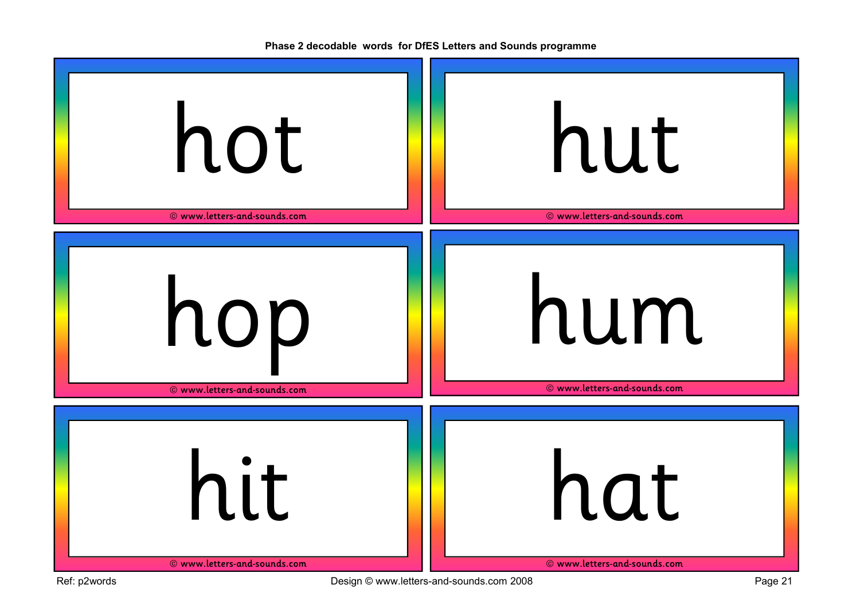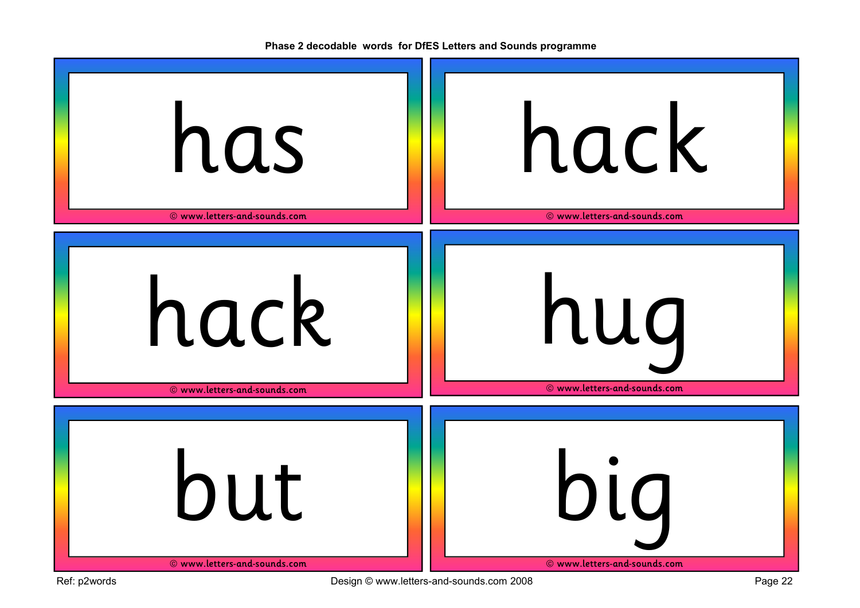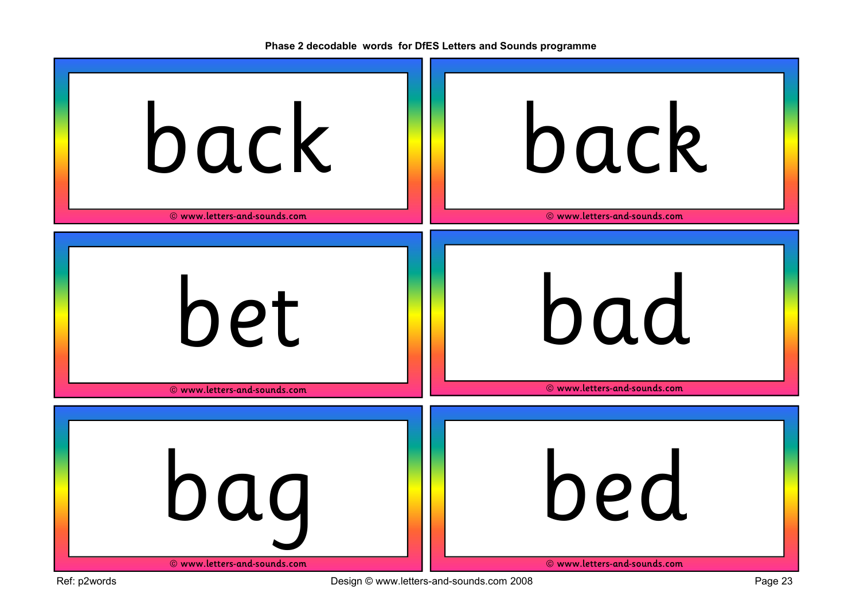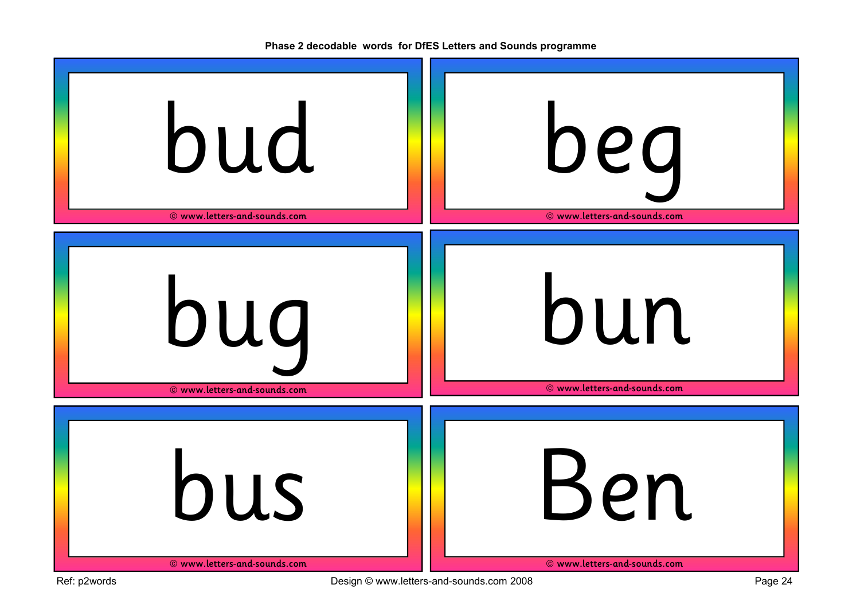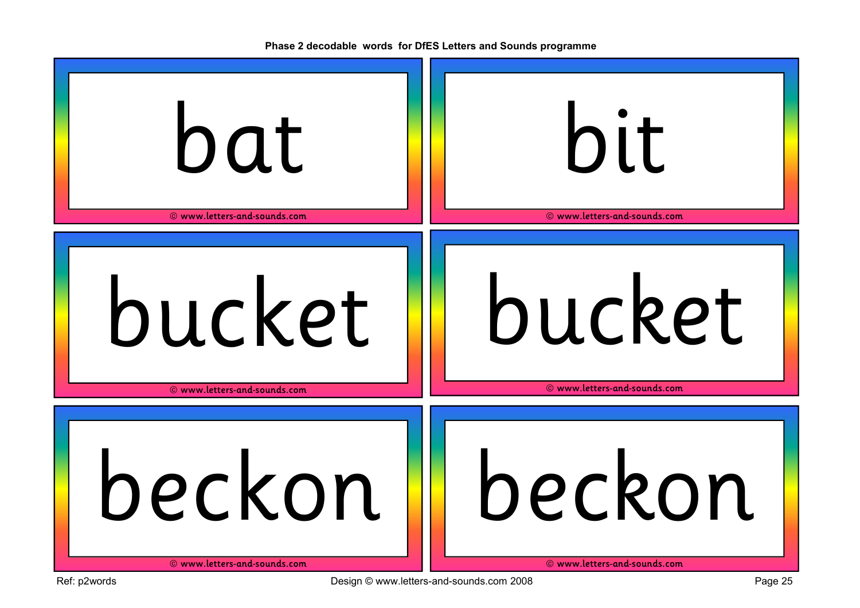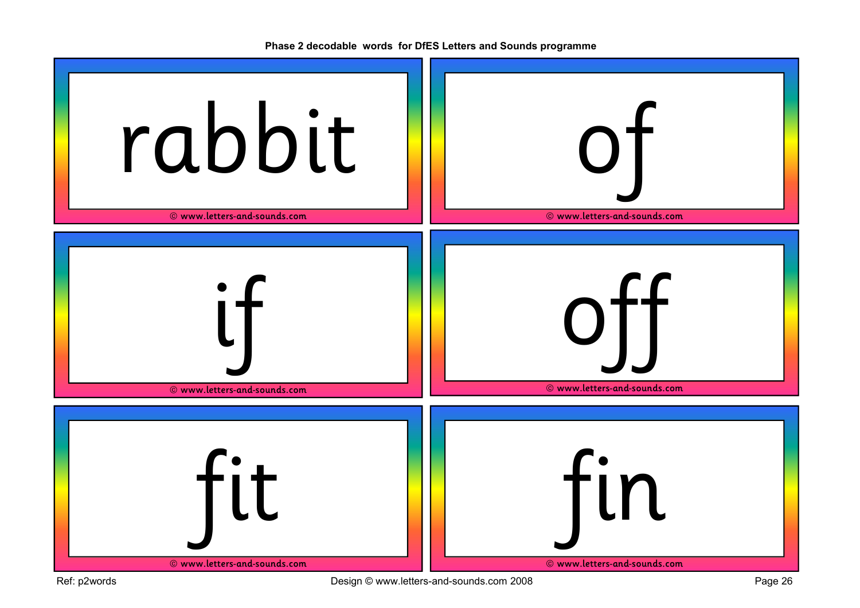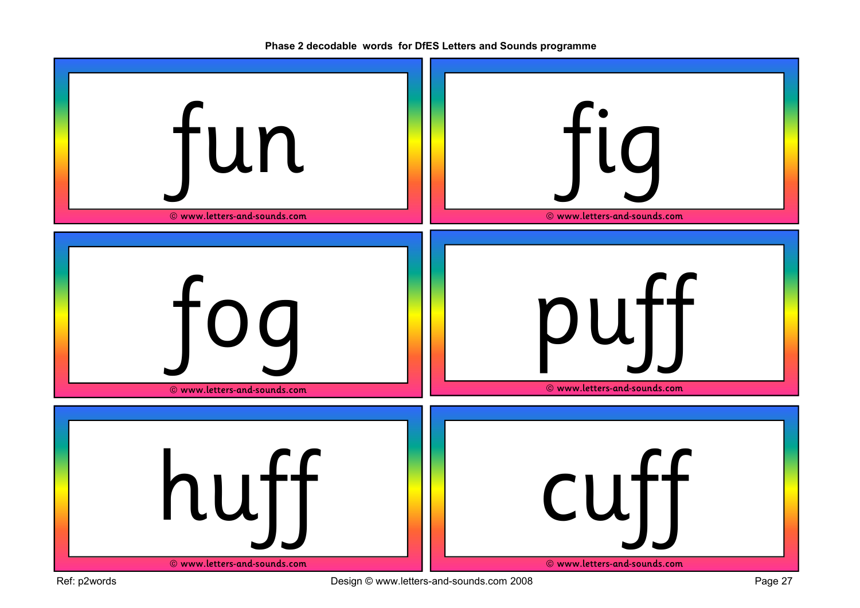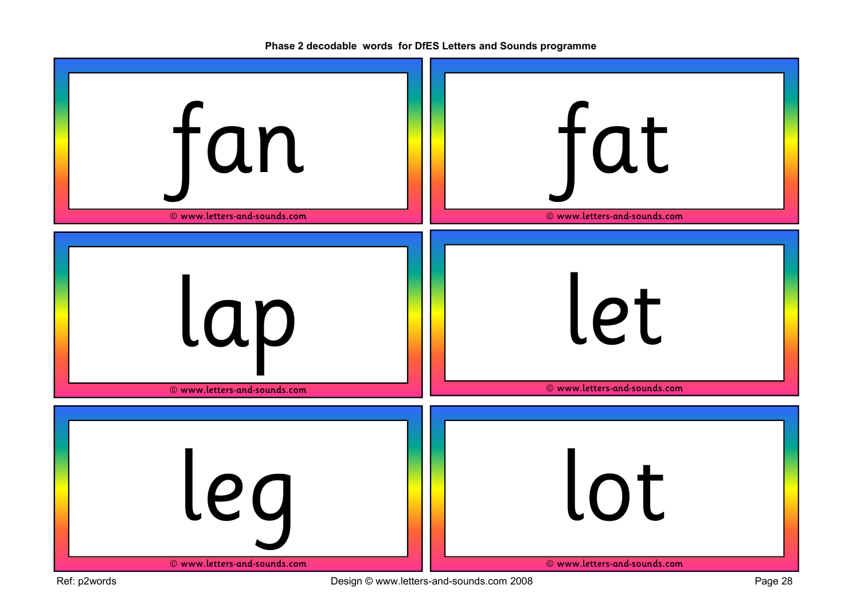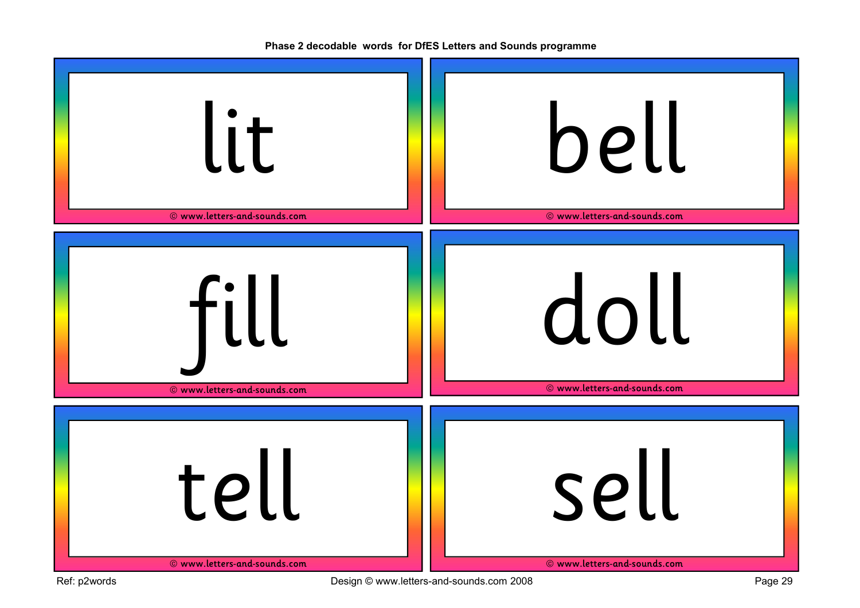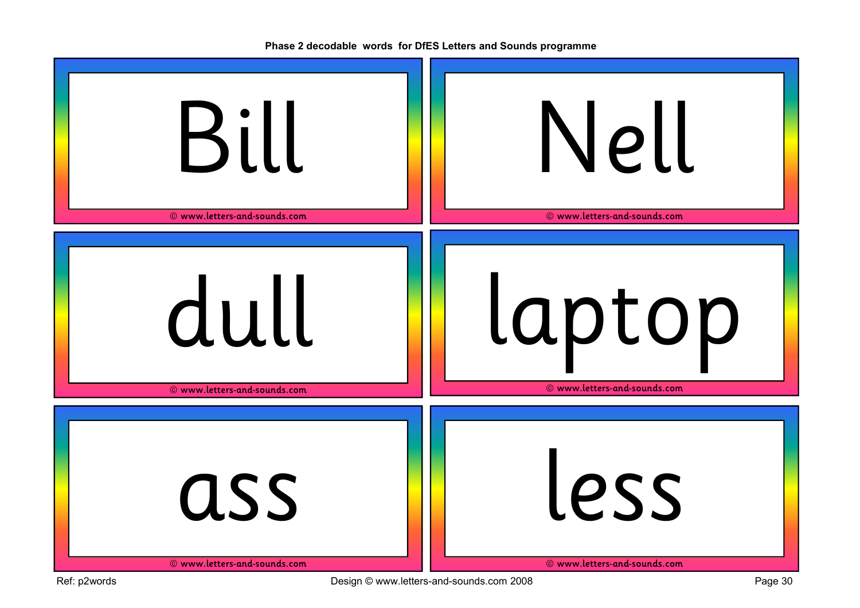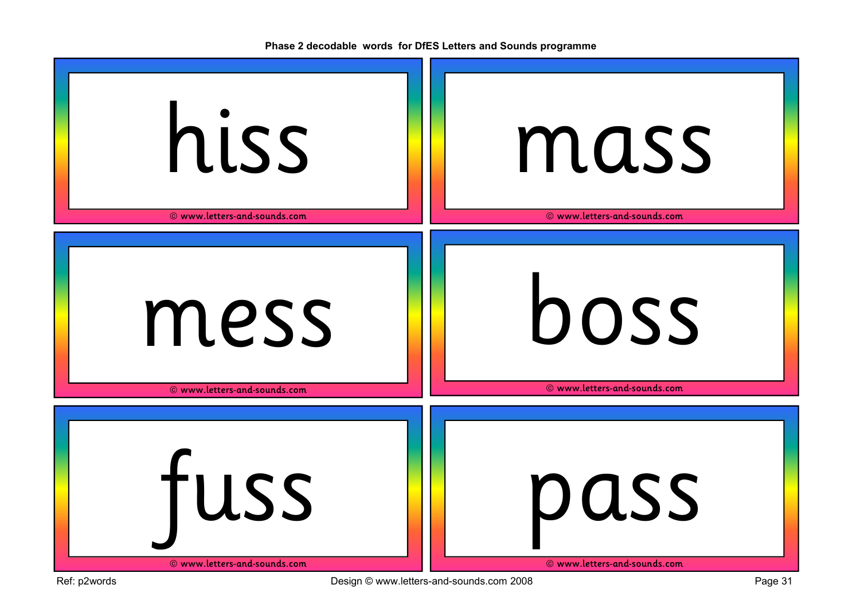